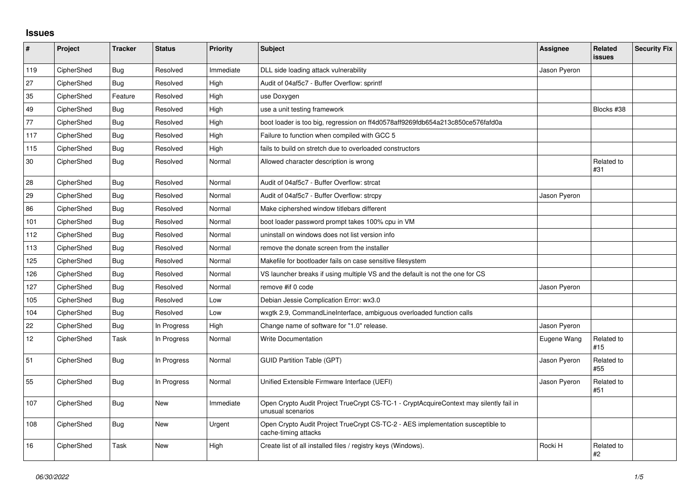## **Issues**

| $\pmb{\#}$      | Project    | <b>Tracker</b> | <b>Status</b> | Priority  | <b>Subject</b>                                                                                              | <b>Assignee</b> | Related<br><b>issues</b> | <b>Security Fix</b> |
|-----------------|------------|----------------|---------------|-----------|-------------------------------------------------------------------------------------------------------------|-----------------|--------------------------|---------------------|
| 119             | CipherShed | Bug            | Resolved      | Immediate | DLL side loading attack vulnerability                                                                       | Jason Pyeron    |                          |                     |
| 27              | CipherShed | Bug            | Resolved      | High      | Audit of 04af5c7 - Buffer Overflow: sprintf                                                                 |                 |                          |                     |
| 35              | CipherShed | Feature        | Resolved      | High      | use Doxygen                                                                                                 |                 |                          |                     |
| 49              | CipherShed | <b>Bug</b>     | Resolved      | High      | use a unit testing framework                                                                                |                 | Blocks #38               |                     |
| 77              | CipherShed | Bug            | Resolved      | High      | boot loader is too big, regression on ff4d0578aff9269fdb654a213c850ce576fafd0a                              |                 |                          |                     |
| 117             | CipherShed | Bug            | Resolved      | High      | Failure to function when compiled with GCC 5                                                                |                 |                          |                     |
| 115             | CipherShed | Bug            | Resolved      | High      | fails to build on stretch due to overloaded constructors                                                    |                 |                          |                     |
| 30              | CipherShed | Bug            | Resolved      | Normal    | Allowed character description is wrong                                                                      |                 | Related to<br>#31        |                     |
| 28              | CipherShed | Bug            | Resolved      | Normal    | Audit of 04af5c7 - Buffer Overflow: strcat                                                                  |                 |                          |                     |
| 29              | CipherShed | Bug            | Resolved      | Normal    | Audit of 04af5c7 - Buffer Overflow: strcpy                                                                  | Jason Pyeron    |                          |                     |
| 86              | CipherShed | Bug            | Resolved      | Normal    | Make ciphershed window titlebars different                                                                  |                 |                          |                     |
| 101             | CipherShed | Bug            | Resolved      | Normal    | boot loader password prompt takes 100% cpu in VM                                                            |                 |                          |                     |
| 112             | CipherShed | Bug            | Resolved      | Normal    | uninstall on windows does not list version info                                                             |                 |                          |                     |
| 113             | CipherShed | Bug            | Resolved      | Normal    | remove the donate screen from the installer                                                                 |                 |                          |                     |
| 125             | CipherShed | Bug            | Resolved      | Normal    | Makefile for bootloader fails on case sensitive filesystem                                                  |                 |                          |                     |
| 126             | CipherShed | Bug            | Resolved      | Normal    | VS launcher breaks if using multiple VS and the default is not the one for CS                               |                 |                          |                     |
| 127             | CipherShed | Bug            | Resolved      | Normal    | remove #if 0 code                                                                                           | Jason Pyeron    |                          |                     |
| 105             | CipherShed | Bug            | Resolved      | Low       | Debian Jessie Complication Error: wx3.0                                                                     |                 |                          |                     |
| 104             | CipherShed | Bug            | Resolved      | Low       | wxgtk 2.9, CommandLineInterface, ambiguous overloaded function calls                                        |                 |                          |                     |
| 22              | CipherShed | <b>Bug</b>     | In Progress   | High      | Change name of software for "1.0" release.                                                                  | Jason Pyeron    |                          |                     |
| 12 <sub>2</sub> | CipherShed | Task           | In Progress   | Normal    | <b>Write Documentation</b>                                                                                  | Eugene Wang     | Related to<br>#15        |                     |
| 51              | CipherShed | <b>Bug</b>     | In Progress   | Normal    | <b>GUID Partition Table (GPT)</b>                                                                           | Jason Pyeron    | Related to<br>#55        |                     |
| 55              | CipherShed | Bug            | In Progress   | Normal    | Unified Extensible Firmware Interface (UEFI)                                                                | Jason Pyeron    | Related to<br>#51        |                     |
| 107             | CipherShed | Bug            | <b>New</b>    | Immediate | Open Crypto Audit Project TrueCrypt CS-TC-1 - CryptAcquireContext may silently fail in<br>unusual scenarios |                 |                          |                     |
| 108             | CipherShed | <b>Bug</b>     | <b>New</b>    | Urgent    | Open Crypto Audit Project TrueCrypt CS-TC-2 - AES implementation susceptible to<br>cache-timing attacks     |                 |                          |                     |
| 16              | CipherShed | Task           | <b>New</b>    | High      | Create list of all installed files / registry keys (Windows).                                               | Rocki H         | Related to<br>#2         |                     |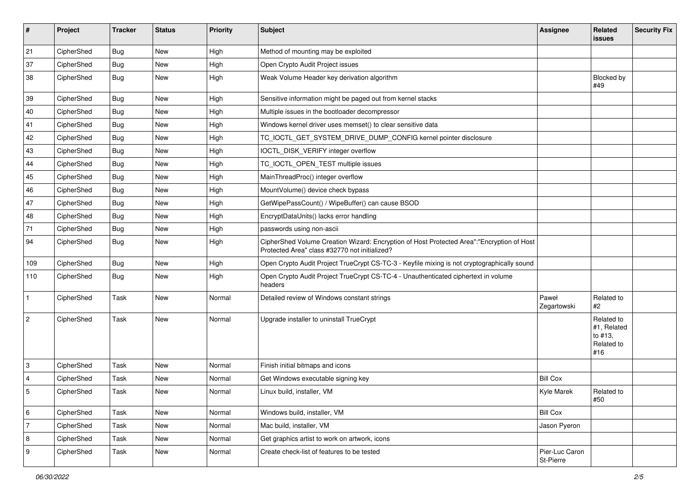| #                         | Project    | <b>Tracker</b> | <b>Status</b> | <b>Priority</b> | Subject                                                                                                                                    | <b>Assignee</b>             | Related<br><b>issues</b>                                  | <b>Security Fix</b> |
|---------------------------|------------|----------------|---------------|-----------------|--------------------------------------------------------------------------------------------------------------------------------------------|-----------------------------|-----------------------------------------------------------|---------------------|
| 21                        | CipherShed | <b>Bug</b>     | <b>New</b>    | High            | Method of mounting may be exploited                                                                                                        |                             |                                                           |                     |
| 37                        | CipherShed | <b>Bug</b>     | <b>New</b>    | High            | Open Crypto Audit Project issues                                                                                                           |                             |                                                           |                     |
| 38                        | CipherShed | <b>Bug</b>     | New           | High            | Weak Volume Header key derivation algorithm                                                                                                |                             | Blocked by<br>#49                                         |                     |
| 39                        | CipherShed | <b>Bug</b>     | <b>New</b>    | High            | Sensitive information might be paged out from kernel stacks                                                                                |                             |                                                           |                     |
| 40                        | CipherShed | Bug            | New           | High            | Multiple issues in the bootloader decompressor                                                                                             |                             |                                                           |                     |
| 41                        | CipherShed | <b>Bug</b>     | New           | High            | Windows kernel driver uses memset() to clear sensitive data                                                                                |                             |                                                           |                     |
| 42                        | CipherShed | <b>Bug</b>     | <b>New</b>    | High            | TC_IOCTL_GET_SYSTEM_DRIVE_DUMP_CONFIG kernel pointer disclosure                                                                            |                             |                                                           |                     |
| 43                        | CipherShed | Bug            | <b>New</b>    | High            | IOCTL_DISK_VERIFY integer overflow                                                                                                         |                             |                                                           |                     |
| 44                        | CipherShed | Bug            | <b>New</b>    | High            | TC_IOCTL_OPEN_TEST multiple issues                                                                                                         |                             |                                                           |                     |
| 45                        | CipherShed | Bug            | New           | High            | MainThreadProc() integer overflow                                                                                                          |                             |                                                           |                     |
| 46                        | CipherShed | <b>Bug</b>     | <b>New</b>    | High            | MountVolume() device check bypass                                                                                                          |                             |                                                           |                     |
| 47                        | CipherShed | <b>Bug</b>     | New           | High            | GetWipePassCount() / WipeBuffer() can cause BSOD                                                                                           |                             |                                                           |                     |
| 48                        | CipherShed | Bug            | <b>New</b>    | High            | EncryptDataUnits() lacks error handling                                                                                                    |                             |                                                           |                     |
| 71                        | CipherShed | Bug            | <b>New</b>    | High            | passwords using non-ascii                                                                                                                  |                             |                                                           |                     |
| 94                        | CipherShed | Bug            | New           | High            | CipherShed Volume Creation Wizard: Encryption of Host Protected Area":"Encryption of Host<br>Protected Area" class #32770 not initialized? |                             |                                                           |                     |
| 109                       | CipherShed | <b>Bug</b>     | <b>New</b>    | High            | Open Crypto Audit Project TrueCrypt CS-TC-3 - Keyfile mixing is not cryptographically sound                                                |                             |                                                           |                     |
| 110                       | CipherShed | Bug            | New           | High            | Open Crypto Audit Project TrueCrypt CS-TC-4 - Unauthenticated ciphertext in volume<br>headers                                              |                             |                                                           |                     |
| $\mathbf{1}$              | CipherShed | Task           | <b>New</b>    | Normal          | Detailed review of Windows constant strings                                                                                                | Paweł<br>Zegartowski        | Related to<br>#2                                          |                     |
| $\sqrt{2}$                | CipherShed | Task           | <b>New</b>    | Normal          | Upgrade installer to uninstall TrueCrypt                                                                                                   |                             | Related to<br>#1, Related<br>to #13.<br>Related to<br>#16 |                     |
| $\ensuremath{\mathsf{3}}$ | CipherShed | Task           | <b>New</b>    | Normal          | Finish initial bitmaps and icons                                                                                                           |                             |                                                           |                     |
| $\overline{4}$            | CipherShed | Task           | <b>New</b>    | Normal          | Get Windows executable signing key                                                                                                         | <b>Bill Cox</b>             |                                                           |                     |
| $\sqrt{5}$                | CipherShed | Task           | New           | Normal          | Linux build, installer, VM                                                                                                                 | <b>Kyle Marek</b>           | Related to<br>#50                                         |                     |
| $\,6\,$                   | CipherShed | Task           | New           | Normal          | Windows build, installer, VM                                                                                                               | <b>Bill Cox</b>             |                                                           |                     |
| $\overline{7}$            | CipherShed | Task           | New           | Normal          | Mac build, installer, VM                                                                                                                   | Jason Pyeron                |                                                           |                     |
| 8                         | CipherShed | Task           | New           | Normal          | Get graphics artist to work on artwork, icons                                                                                              |                             |                                                           |                     |
| $\boldsymbol{9}$          | CipherShed | Task           | New           | Normal          | Create check-list of features to be tested                                                                                                 | Pier-Luc Caron<br>St-Pierre |                                                           |                     |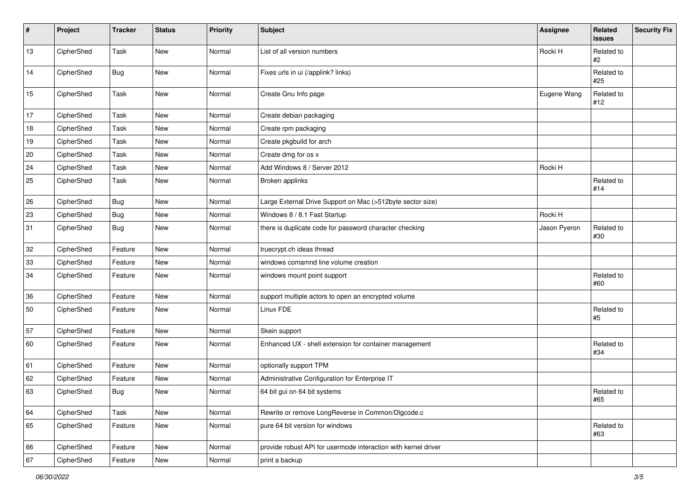| #    | Project    | <b>Tracker</b> | <b>Status</b> | <b>Priority</b> | <b>Subject</b>                                                 | Assignee     | Related<br>issues | Security Fix |
|------|------------|----------------|---------------|-----------------|----------------------------------------------------------------|--------------|-------------------|--------------|
| 13   | CipherShed | Task           | New           | Normal          | List of all version numbers                                    | Rocki H      | Related to<br>#2  |              |
| 14   | CipherShed | <b>Bug</b>     | New           | Normal          | Fixes urls in ui (/applink? links)                             |              | Related to<br>#25 |              |
| 15   | CipherShed | Task           | New           | Normal          | Create Gnu Info page                                           | Eugene Wang  | Related to<br>#12 |              |
| $17$ | CipherShed | Task           | New           | Normal          | Create debian packaging                                        |              |                   |              |
| 18   | CipherShed | Task           | New           | Normal          | Create rpm packaging                                           |              |                   |              |
| $19$ | CipherShed | Task           | New           | Normal          | Create pkgbuild for arch                                       |              |                   |              |
| 20   | CipherShed | Task           | New           | Normal          | Create dmg for os x                                            |              |                   |              |
| 24   | CipherShed | Task           | New           | Normal          | Add Windows 8 / Server 2012                                    | Rocki H      |                   |              |
| 25   | CipherShed | Task           | New           | Normal          | Broken applinks                                                |              | Related to<br>#14 |              |
| 26   | CipherShed | <b>Bug</b>     | New           | Normal          | Large External Drive Support on Mac (>512byte sector size)     |              |                   |              |
| 23   | CipherShed | <b>Bug</b>     | New           | Normal          | Windows 8 / 8.1 Fast Startup                                   | Rocki H      |                   |              |
| 31   | CipherShed | <b>Bug</b>     | New           | Normal          | there is duplicate code for password character checking        | Jason Pyeron | Related to<br>#30 |              |
| 32   | CipherShed | Feature        | New           | Normal          | truecrypt.ch ideas thread                                      |              |                   |              |
| 33   | CipherShed | Feature        | New           | Normal          | windows comamnd line volume creation                           |              |                   |              |
| 34   | CipherShed | Feature        | New           | Normal          | windows mount point support                                    |              | Related to<br>#60 |              |
| 36   | CipherShed | Feature        | New           | Normal          | support multiple actors to open an encrypted volume            |              |                   |              |
| 50   | CipherShed | Feature        | New           | Normal          | Linux FDE                                                      |              | Related to<br>#5  |              |
| 57   | CipherShed | Feature        | New           | Normal          | Skein support                                                  |              |                   |              |
| 60   | CipherShed | Feature        | New           | Normal          | Enhanced UX - shell extension for container management         |              | Related to<br>#34 |              |
| 61   | CipherShed | Feature        | New           | Normal          | optionally support TPM                                         |              |                   |              |
| 62   | CipherShed | Feature        | New           | Normal          | Administrative Configuration for Enterprise IT                 |              |                   |              |
| 63   | CipherShed | Bug            | New           | Normal          | 64 bit gui on 64 bit systems                                   |              | Related to<br>#65 |              |
| 64   | CipherShed | Task           | New           | Normal          | Rewrite or remove LongReverse in Common/Dlgcode.c              |              |                   |              |
| 65   | CipherShed | Feature        | New           | Normal          | pure 64 bit version for windows                                |              | Related to<br>#63 |              |
| 66   | CipherShed | Feature        | New           | Normal          | provide robust API for usermode interaction with kernel driver |              |                   |              |
| 67   | CipherShed | Feature        | New           | Normal          | print a backup                                                 |              |                   |              |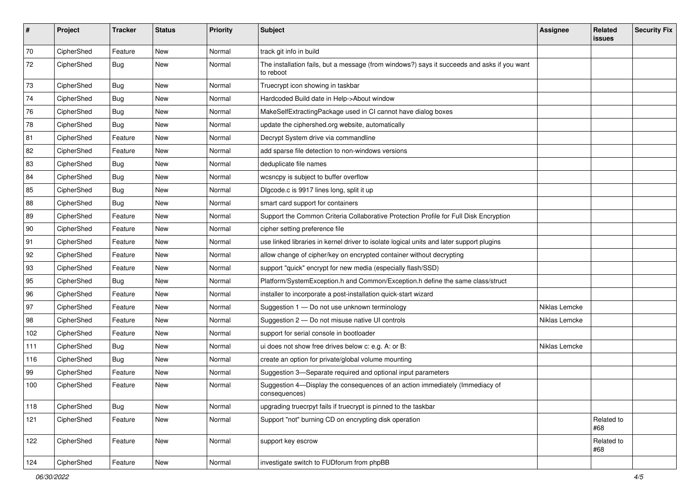| $\pmb{\#}$ | Project    | <b>Tracker</b> | <b>Status</b> | <b>Priority</b> | Subject                                                                                                  | Assignee      | Related<br>issues | <b>Security Fix</b> |
|------------|------------|----------------|---------------|-----------------|----------------------------------------------------------------------------------------------------------|---------------|-------------------|---------------------|
| 70         | CipherShed | Feature        | <b>New</b>    | Normal          | track git info in build                                                                                  |               |                   |                     |
| 72         | CipherShed | Bug            | New           | Normal          | The installation fails, but a message (from windows?) says it succeeds and asks if you want<br>to reboot |               |                   |                     |
| 73         | CipherShed | Bug            | <b>New</b>    | Normal          | Truecrypt icon showing in taskbar                                                                        |               |                   |                     |
| 74         | CipherShed | Bug            | New           | Normal          | Hardcoded Build date in Help->About window                                                               |               |                   |                     |
| 76         | CipherShed | Bug            | New           | Normal          | MakeSelfExtractingPackage used in CI cannot have dialog boxes                                            |               |                   |                     |
| 78         | CipherShed | Bug            | New           | Normal          | update the ciphershed.org website, automatically                                                         |               |                   |                     |
| 81         | CipherShed | Feature        | New           | Normal          | Decrypt System drive via commandline                                                                     |               |                   |                     |
| 82         | CipherShed | Feature        | <b>New</b>    | Normal          | add sparse file detection to non-windows versions                                                        |               |                   |                     |
| 83         | CipherShed | Bug            | New           | Normal          | deduplicate file names                                                                                   |               |                   |                     |
| 84         | CipherShed | Bug            | New           | Normal          | wcsncpy is subject to buffer overflow                                                                    |               |                   |                     |
| 85         | CipherShed | Bug            | New           | Normal          | Digcode.c is 9917 lines long, split it up                                                                |               |                   |                     |
| 88         | CipherShed | Bug            | <b>New</b>    | Normal          | smart card support for containers                                                                        |               |                   |                     |
| 89         | CipherShed | Feature        | <b>New</b>    | Normal          | Support the Common Criteria Collaborative Protection Profile for Full Disk Encryption                    |               |                   |                     |
| 90         | CipherShed | Feature        | New           | Normal          | cipher setting preference file                                                                           |               |                   |                     |
| 91         | CipherShed | Feature        | New           | Normal          | use linked libraries in kernel driver to isolate logical units and later support plugins                 |               |                   |                     |
| 92         | CipherShed | Feature        | New           | Normal          | allow change of cipher/key on encrypted container without decrypting                                     |               |                   |                     |
| 93         | CipherShed | Feature        | New           | Normal          | support "quick" encrypt for new media (especially flash/SSD)                                             |               |                   |                     |
| 95         | CipherShed | Bug            | <b>New</b>    | Normal          | Platform/SystemException.h and Common/Exception.h define the same class/struct                           |               |                   |                     |
| 96         | CipherShed | Feature        | New           | Normal          | installer to incorporate a post-installation quick-start wizard                                          |               |                   |                     |
| 97         | CipherShed | Feature        | New           | Normal          | Suggestion 1 - Do not use unknown terminology                                                            | Niklas Lemcke |                   |                     |
| 98         | CipherShed | Feature        | New           | Normal          | Suggestion 2 - Do not misuse native UI controls                                                          | Niklas Lemcke |                   |                     |
| 102        | CipherShed | Feature        | New           | Normal          | support for serial console in bootloader                                                                 |               |                   |                     |
| 111        | CipherShed | Bug            | New           | Normal          | ui does not show free drives below c: e.g. A: or B:                                                      | Niklas Lemcke |                   |                     |
| 116        | CipherShed | Bug            | New           | Normal          | create an option for private/global volume mounting                                                      |               |                   |                     |
| 99         | CipherShed | Feature        | New           | Normal          | Suggestion 3-Separate required and optional input parameters                                             |               |                   |                     |
| 100        | CipherShed | Feature        | New           | Normal          | Suggestion 4-Display the consequences of an action immediately (Immediacy of<br>consequences)            |               |                   |                     |
| 118        | CipherShed | <b>Bug</b>     | New           | Normal          | upgrading truecrpyt fails if truecrypt is pinned to the taskbar                                          |               |                   |                     |
| 121        | CipherShed | Feature        | New           | Normal          | Support "not" burning CD on encrypting disk operation                                                    |               | Related to<br>#68 |                     |
| 122        | CipherShed | Feature        | New           | Normal          | support key escrow                                                                                       |               | Related to<br>#68 |                     |
| 124        | CipherShed | Feature        | New           | Normal          | investigate switch to FUDforum from phpBB                                                                |               |                   |                     |